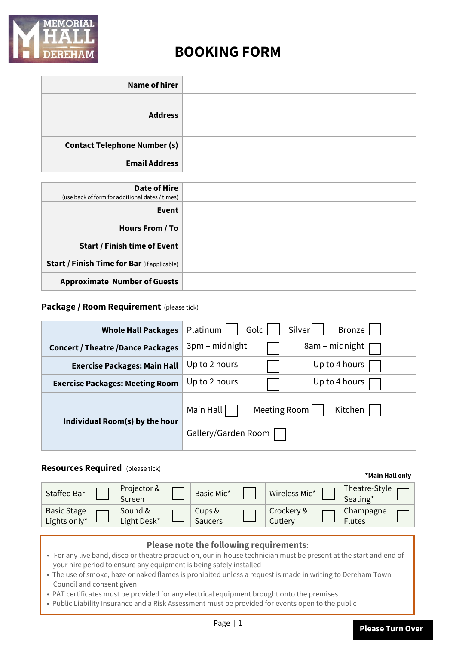

# **BOOKING FORM**

| <b>Date of Hire</b><br>(use back of form for additional dates / times) |  |
|------------------------------------------------------------------------|--|
| Event                                                                  |  |
| Hours From / To                                                        |  |
| <b>Start / Finish time of Event</b>                                    |  |
| <b>Start / Finish Time for Bar</b> (if applicable)                     |  |
| <b>Approximate Number of Guests</b>                                    |  |

## **Package / Room Requirement** (please tick)

| <b>Whole Hall Packages</b>               | Platinum<br>Silver<br>Bronze<br>Gold |
|------------------------------------------|--------------------------------------|
| <b>Concert / Theatre /Dance Packages</b> | 8am – midnight<br>3pm - midnight     |
| <b>Exercise Packages: Main Hall</b>      | Up to 2 hours<br>Up to 4 hours       |
| <b>Exercise Packages: Meeting Room</b>   | Up to 2 hours<br>Up to 4 hours       |
| Individual Room(s) by the hour           | Kitchen<br>Main Hall<br>Meeting Room |
|                                          | Gallery/Garden Room                  |

# **Resources Required** (please tick)

| <b>Staffed Bar</b>                 | Projector &<br>Screen  | Basic Mic*        | Wireless Mic*         | Theatre-Style<br>Seating*  |  |
|------------------------------------|------------------------|-------------------|-----------------------|----------------------------|--|
| <b>Basic Stage</b><br>Lights only* | Sound &<br>Light Desk* | Cups &<br>Saucers | Crockery &<br>Cutlery | Champagne<br><b>Flutes</b> |  |

| Please note the following requirements:                                                                                                                                                 |  |  |  |  |  |
|-----------------------------------------------------------------------------------------------------------------------------------------------------------------------------------------|--|--|--|--|--|
| • For any live band, disco or theatre production, our in-house technician must be present at the start and end of<br>your hire period to ensure any equipment is being safely installed |  |  |  |  |  |
| • The use of smoke, haze or naked flames is prohibited unless a request is made in writing to Dereham Town<br>Council and consent given                                                 |  |  |  |  |  |
| • PAT certificates must be provided for any electrical equipment brought onto the premises                                                                                              |  |  |  |  |  |
| . Public Liability Insurance and a Risk Assessment must be provided for events open to the public                                                                                       |  |  |  |  |  |
| . .                                                                                                                                                                                     |  |  |  |  |  |

**\*Main Hall only**